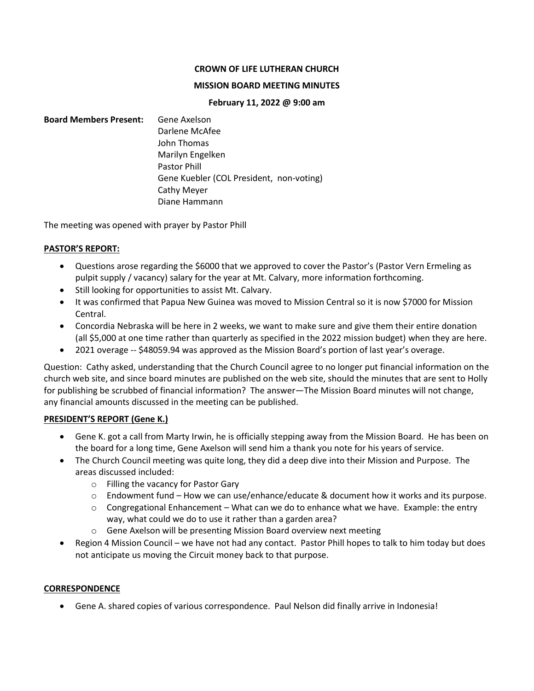### **CROWN OF LIFE LUTHERAN CHURCH**

### **MISSION BOARD MEETING MINUTES**

### **February 11, 2022 @ 9:00 am**

## **Board Members Present:** Gene Axelson Darlene McAfee John Thomas Marilyn Engelken Pastor Phill Gene Kuebler (COL President, non-voting) Cathy Meyer Diane Hammann

The meeting was opened with prayer by Pastor Phill

## **PASTOR'S REPORT:**

- Questions arose regarding the \$6000 that we approved to cover the Pastor's (Pastor Vern Ermeling as pulpit supply / vacancy) salary for the year at Mt. Calvary, more information forthcoming.
- Still looking for opportunities to assist Mt. Calvary.
- It was confirmed that Papua New Guinea was moved to Mission Central so it is now \$7000 for Mission Central.
- Concordia Nebraska will be here in 2 weeks, we want to make sure and give them their entire donation (all \$5,000 at one time rather than quarterly as specified in the 2022 mission budget) when they are here.
- 2021 overage -- \$48059.94 was approved as the Mission Board's portion of last year's overage.

Question: Cathy asked, understanding that the Church Council agree to no longer put financial information on the church web site, and since board minutes are published on the web site, should the minutes that are sent to Holly for publishing be scrubbed of financial information? The answer—The Mission Board minutes will not change, any financial amounts discussed in the meeting can be published.

## **PRESIDENT'S REPORT (Gene K.)**

- Gene K. got a call from Marty Irwin, he is officially stepping away from the Mission Board. He has been on the board for a long time, Gene Axelson will send him a thank you note for his years of service.
- The Church Council meeting was quite long, they did a deep dive into their Mission and Purpose. The areas discussed included:
	- o Filling the vacancy for Pastor Gary
	- $\circ$  Endowment fund How we can use/enhance/educate & document how it works and its purpose.
	- $\circ$  Congregational Enhancement What can we do to enhance what we have. Example: the entry way, what could we do to use it rather than a garden area?
	- o Gene Axelson will be presenting Mission Board overview next meeting
- Region 4 Mission Council we have not had any contact. Pastor Phill hopes to talk to him today but does not anticipate us moving the Circuit money back to that purpose.

## **CORRESPONDENCE**

• Gene A. shared copies of various correspondence. Paul Nelson did finally arrive in Indonesia!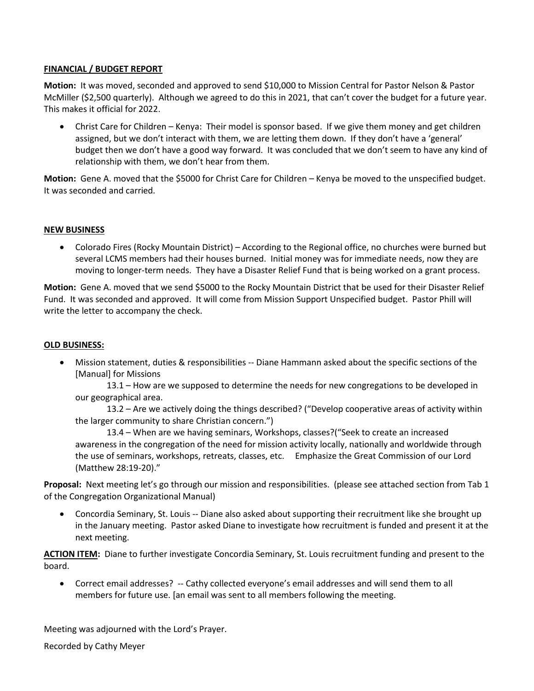## **FINANCIAL / BUDGET REPORT**

**Motion:** It was moved, seconded and approved to send \$10,000 to Mission Central for Pastor Nelson & Pastor McMiller (\$2,500 quarterly). Although we agreed to do this in 2021, that can't cover the budget for a future year. This makes it official for 2022.

• Christ Care for Children – Kenya: Their model is sponsor based. If we give them money and get children assigned, but we don't interact with them, we are letting them down. If they don't have a 'general' budget then we don't have a good way forward. It was concluded that we don't seem to have any kind of relationship with them, we don't hear from them.

**Motion:** Gene A. moved that the \$5000 for Christ Care for Children – Kenya be moved to the unspecified budget. It was seconded and carried.

## **NEW BUSINESS**

• Colorado Fires (Rocky Mountain District) – According to the Regional office, no churches were burned but several LCMS members had their houses burned. Initial money was for immediate needs, now they are moving to longer-term needs. They have a Disaster Relief Fund that is being worked on a grant process.

**Motion:** Gene A. moved that we send \$5000 to the Rocky Mountain District that be used for their Disaster Relief Fund. It was seconded and approved. It will come from Mission Support Unspecified budget. Pastor Phill will write the letter to accompany the check.

### **OLD BUSINESS:**

• Mission statement, duties & responsibilities -- Diane Hammann asked about the specific sections of the [Manual] for Missions

13.1 – How are we supposed to determine the needs for new congregations to be developed in our geographical area.

13.2 – Are we actively doing the things described? ("Develop cooperative areas of activity within the larger community to share Christian concern.")

13.4 – When are we having seminars, Workshops, classes?("Seek to create an increased awareness in the congregation of the need for mission activity locally, nationally and worldwide through the use of seminars, workshops, retreats, classes, etc. Emphasize the Great Commission of our Lord (Matthew 28:19-20)."

**Proposal:** Next meeting let's go through our mission and responsibilities. (please see attached section from Tab 1 of the Congregation Organizational Manual)

• Concordia Seminary, St. Louis -- Diane also asked about supporting their recruitment like she brought up in the January meeting. Pastor asked Diane to investigate how recruitment is funded and present it at the next meeting.

**ACTION ITEM:** Diane to further investigate Concordia Seminary, St. Louis recruitment funding and present to the board.

• Correct email addresses? -- Cathy collected everyone's email addresses and will send them to all members for future use. [an email was sent to all members following the meeting.

Meeting was adjourned with the Lord's Prayer.

Recorded by Cathy Meyer